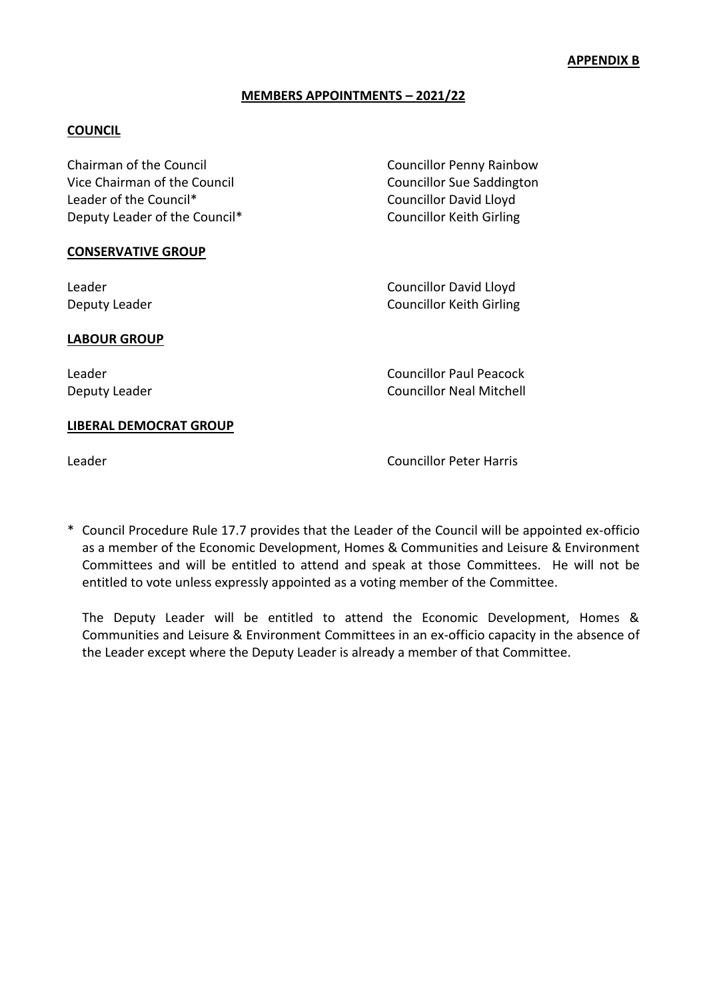## **MEMBERS APPOINTMENTS – 2021/22**

## **COUNCIL**

| Chairman of the Council       | <b>Councillor Penny Rainbow</b>  |
|-------------------------------|----------------------------------|
| Vice Chairman of the Council  | <b>Councillor Sue Saddington</b> |
| Leader of the Council*        | <b>Councillor David Lloyd</b>    |
| Deputy Leader of the Council* | <b>Councillor Keith Girling</b>  |
| <b>CONSERVATIVE GROUP</b>     |                                  |
| Leader                        | <b>Councillor David Lloyd</b>    |
| Deputy Leader                 | <b>Councillor Keith Girling</b>  |
| <b>LABOUR GROUP</b>           |                                  |

Leader Councillor Paul Peacock Deputy Leader **Councillor Neal Mitchell** 

#### **LIBERAL DEMOCRAT GROUP**

Leader Councillor Peter Harris

\* Council Procedure Rule 17.7 provides that the Leader of the Council will be appointed ex-officio as a member of the Economic Development, Homes & Communities and Leisure & Environment Committees and will be entitled to attend and speak at those Committees. He will not be entitled to vote unless expressly appointed as a voting member of the Committee.

The Deputy Leader will be entitled to attend the Economic Development, Homes & Communities and Leisure & Environment Committees in an ex-officio capacity in the absence of the Leader except where the Deputy Leader is already a member of that Committee.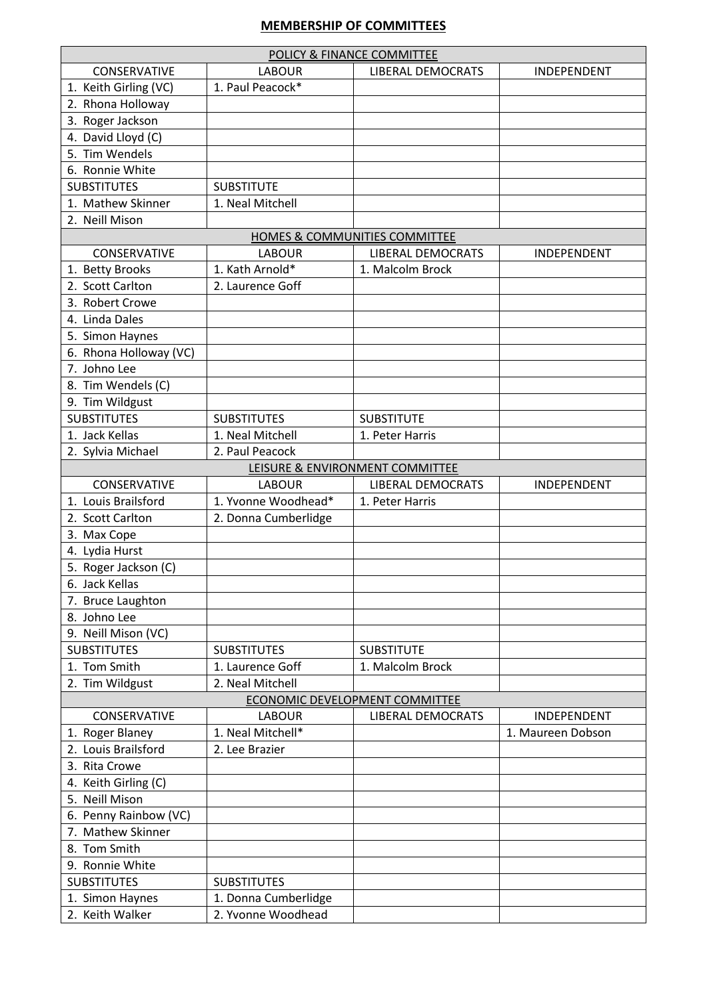# **MEMBERSHIP OF COMMITTEES**

| POLICY & FINANCE COMMITTEE     |                      |                                 |                   |  |  |  |
|--------------------------------|----------------------|---------------------------------|-------------------|--|--|--|
| <b>CONSERVATIVE</b>            | <b>LABOUR</b>        | <b>LIBERAL DEMOCRATS</b>        | INDEPENDENT       |  |  |  |
| 1. Keith Girling (VC)          | 1. Paul Peacock*     |                                 |                   |  |  |  |
| 2. Rhona Holloway              |                      |                                 |                   |  |  |  |
| 3. Roger Jackson               |                      |                                 |                   |  |  |  |
| 4. David Lloyd (C)             |                      |                                 |                   |  |  |  |
| 5. Tim Wendels                 |                      |                                 |                   |  |  |  |
| 6. Ronnie White                |                      |                                 |                   |  |  |  |
| <b>SUBSTITUTES</b>             | <b>SUBSTITUTE</b>    |                                 |                   |  |  |  |
| 1. Mathew Skinner              | 1. Neal Mitchell     |                                 |                   |  |  |  |
| 2. Neill Mison                 |                      |                                 |                   |  |  |  |
|                                |                      | HOMES & COMMUNITIES COMMITTEE   |                   |  |  |  |
| CONSERVATIVE                   | <b>LABOUR</b>        | <b>LIBERAL DEMOCRATS</b>        | INDEPENDENT       |  |  |  |
| 1. Betty Brooks                | 1. Kath Arnold*      | 1. Malcolm Brock                |                   |  |  |  |
| 2. Scott Carlton               | 2. Laurence Goff     |                                 |                   |  |  |  |
| 3. Robert Crowe                |                      |                                 |                   |  |  |  |
| 4. Linda Dales                 |                      |                                 |                   |  |  |  |
| 5. Simon Haynes                |                      |                                 |                   |  |  |  |
| 6. Rhona Holloway (VC)         |                      |                                 |                   |  |  |  |
| 7. Johno Lee                   |                      |                                 |                   |  |  |  |
|                                |                      |                                 |                   |  |  |  |
| 8. Tim Wendels (C)             |                      |                                 |                   |  |  |  |
| 9. Tim Wildgust                |                      |                                 |                   |  |  |  |
| <b>SUBSTITUTES</b>             | <b>SUBSTITUTES</b>   | <b>SUBSTITUTE</b>               |                   |  |  |  |
| 1. Jack Kellas                 | 1. Neal Mitchell     | 1. Peter Harris                 |                   |  |  |  |
| 2. Sylvia Michael              | 2. Paul Peacock      |                                 |                   |  |  |  |
|                                |                      | LEISURE & ENVIRONMENT COMMITTEE |                   |  |  |  |
| <b>CONSERVATIVE</b>            | <b>LABOUR</b>        | <b>LIBERAL DEMOCRATS</b>        | INDEPENDENT       |  |  |  |
| 1. Louis Brailsford            | 1. Yvonne Woodhead*  | 1. Peter Harris                 |                   |  |  |  |
| 2. Scott Carlton               | 2. Donna Cumberlidge |                                 |                   |  |  |  |
| 3. Max Cope                    |                      |                                 |                   |  |  |  |
| 4. Lydia Hurst                 |                      |                                 |                   |  |  |  |
| 5. Roger Jackson (C)           |                      |                                 |                   |  |  |  |
| 6. Jack Kellas                 |                      |                                 |                   |  |  |  |
| 7. Bruce Laughton              |                      |                                 |                   |  |  |  |
| 8. Johno Lee                   |                      |                                 |                   |  |  |  |
| 9. Neill Mison (VC)            |                      |                                 |                   |  |  |  |
| <b>SUBSTITUTES</b>             | <b>SUBSTITUTES</b>   | <b>SUBSTITUTE</b>               |                   |  |  |  |
| 1. Tom Smith                   | 1. Laurence Goff     | 1. Malcolm Brock                |                   |  |  |  |
| 2. Tim Wildgust                | 2. Neal Mitchell     |                                 |                   |  |  |  |
| ECONOMIC DEVELOPMENT COMMITTEE |                      |                                 |                   |  |  |  |
| CONSERVATIVE                   | <b>LABOUR</b>        | <b>LIBERAL DEMOCRATS</b>        | INDEPENDENT       |  |  |  |
| 1. Roger Blaney                | 1. Neal Mitchell*    |                                 | 1. Maureen Dobson |  |  |  |
| 2. Louis Brailsford            | 2. Lee Brazier       |                                 |                   |  |  |  |
| 3. Rita Crowe                  |                      |                                 |                   |  |  |  |
| 4. Keith Girling (C)           |                      |                                 |                   |  |  |  |
| 5. Neill Mison                 |                      |                                 |                   |  |  |  |
| 6. Penny Rainbow (VC)          |                      |                                 |                   |  |  |  |
| 7. Mathew Skinner              |                      |                                 |                   |  |  |  |
| 8. Tom Smith                   |                      |                                 |                   |  |  |  |
| 9. Ronnie White                |                      |                                 |                   |  |  |  |
| <b>SUBSTITUTES</b>             | <b>SUBSTITUTES</b>   |                                 |                   |  |  |  |
| 1. Simon Haynes                | 1. Donna Cumberlidge |                                 |                   |  |  |  |
| 2. Keith Walker                | 2. Yvonne Woodhead   |                                 |                   |  |  |  |
|                                |                      |                                 |                   |  |  |  |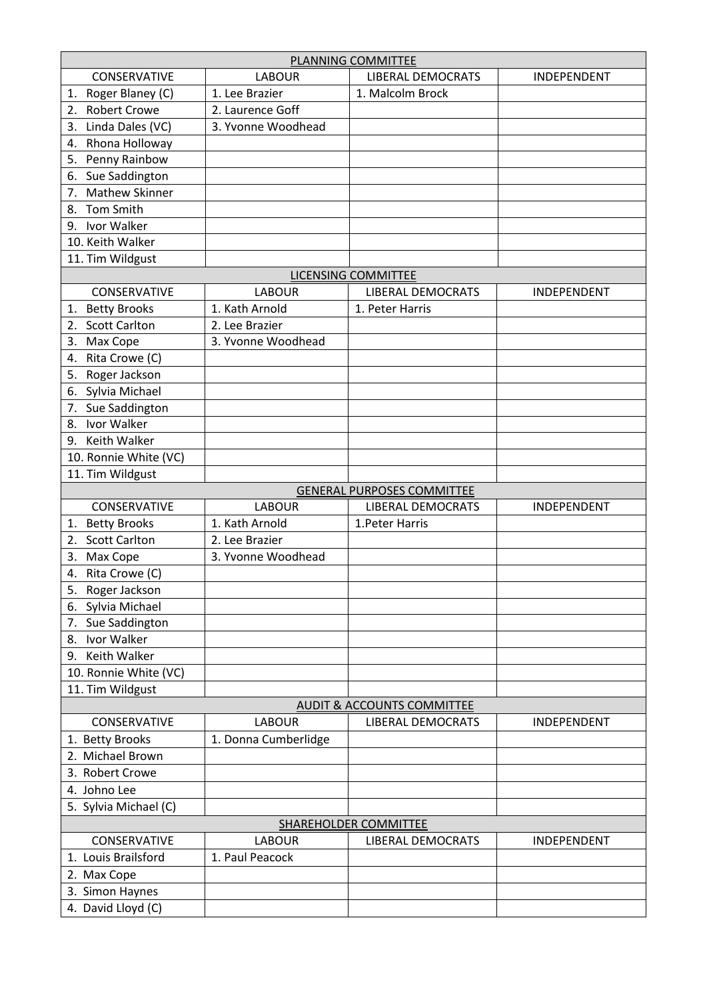| PLANNING COMMITTEE                    |                      |                                   |                    |  |  |
|---------------------------------------|----------------------|-----------------------------------|--------------------|--|--|
| <b>CONSERVATIVE</b>                   | <b>LABOUR</b>        | <b>LIBERAL DEMOCRATS</b>          | INDEPENDENT        |  |  |
| Roger Blaney (C)<br>1.                | 1. Lee Brazier       | 1. Malcolm Brock                  |                    |  |  |
| <b>Robert Crowe</b><br>2.             | 2. Laurence Goff     |                                   |                    |  |  |
| Linda Dales (VC)<br>3.                | 3. Yvonne Woodhead   |                                   |                    |  |  |
| Rhona Holloway<br>4.                  |                      |                                   |                    |  |  |
| Penny Rainbow<br>5.                   |                      |                                   |                    |  |  |
| Sue Saddington<br>6.                  |                      |                                   |                    |  |  |
| <b>Mathew Skinner</b><br>7.           |                      |                                   |                    |  |  |
| Tom Smith<br>8.                       |                      |                                   |                    |  |  |
| Ivor Walker<br>9.                     |                      |                                   |                    |  |  |
| 10. Keith Walker                      |                      |                                   |                    |  |  |
| 11. Tim Wildgust                      |                      |                                   |                    |  |  |
|                                       |                      | LICENSING COMMITTEE               |                    |  |  |
| CONSERVATIVE                          | <b>LABOUR</b>        | <b>LIBERAL DEMOCRATS</b>          | <b>INDEPENDENT</b> |  |  |
| <b>Betty Brooks</b><br>1.             | 1. Kath Arnold       | 1. Peter Harris                   |                    |  |  |
| <b>Scott Carlton</b><br>2.            | 2. Lee Brazier       |                                   |                    |  |  |
| Max Cope<br>3.                        | 3. Yvonne Woodhead   |                                   |                    |  |  |
| Rita Crowe (C)<br>4.                  |                      |                                   |                    |  |  |
| Roger Jackson<br>5.                   |                      |                                   |                    |  |  |
| Sylvia Michael<br>6.                  |                      |                                   |                    |  |  |
| Sue Saddington<br>7.                  |                      |                                   |                    |  |  |
| Ivor Walker<br>8.                     |                      |                                   |                    |  |  |
| 9. Keith Walker                       |                      |                                   |                    |  |  |
| 10. Ronnie White (VC)                 |                      |                                   |                    |  |  |
| 11. Tim Wildgust                      |                      |                                   |                    |  |  |
|                                       |                      | <b>GENERAL PURPOSES COMMITTEE</b> |                    |  |  |
| CONSERVATIVE                          | <b>LABOUR</b>        | <b>LIBERAL DEMOCRATS</b>          | <b>INDEPENDENT</b> |  |  |
| <b>Betty Brooks</b><br>1.             | 1. Kath Arnold       | 1. Peter Harris                   |                    |  |  |
| <b>Scott Carlton</b><br>2.            | 2. Lee Brazier       |                                   |                    |  |  |
| Max Cope<br>3.                        | 3. Yvonne Woodhead   |                                   |                    |  |  |
| Rita Crowe (C)<br>4.                  |                      |                                   |                    |  |  |
| Roger Jackson<br>5.                   |                      |                                   |                    |  |  |
| 6. Sylvia Michael                     |                      |                                   |                    |  |  |
| Sue Saddington<br>7.                  |                      |                                   |                    |  |  |
| Ivor Walker<br>8.                     |                      |                                   |                    |  |  |
| 9. Keith Walker                       |                      |                                   |                    |  |  |
| 10. Ronnie White (VC)                 |                      |                                   |                    |  |  |
| 11. Tim Wildgust                      |                      |                                   |                    |  |  |
| <b>AUDIT &amp; ACCOUNTS COMMITTEE</b> |                      |                                   |                    |  |  |
| CONSERVATIVE                          | <b>LABOUR</b>        | <b>LIBERAL DEMOCRATS</b>          | INDEPENDENT        |  |  |
| 1. Betty Brooks                       | 1. Donna Cumberlidge |                                   |                    |  |  |
| 2. Michael Brown                      |                      |                                   |                    |  |  |
| 3. Robert Crowe                       |                      |                                   |                    |  |  |
| 4. Johno Lee                          |                      |                                   |                    |  |  |
| 5. Sylvia Michael (C)                 |                      |                                   |                    |  |  |
| SHAREHOLDER COMMITTEE                 |                      |                                   |                    |  |  |
| CONSERVATIVE                          | <b>LABOUR</b>        | <b>LIBERAL DEMOCRATS</b>          | INDEPENDENT        |  |  |
| 1. Louis Brailsford                   | 1. Paul Peacock      |                                   |                    |  |  |
| 2. Max Cope                           |                      |                                   |                    |  |  |
| 3. Simon Haynes                       |                      |                                   |                    |  |  |
| 4. David Lloyd (C)                    |                      |                                   |                    |  |  |